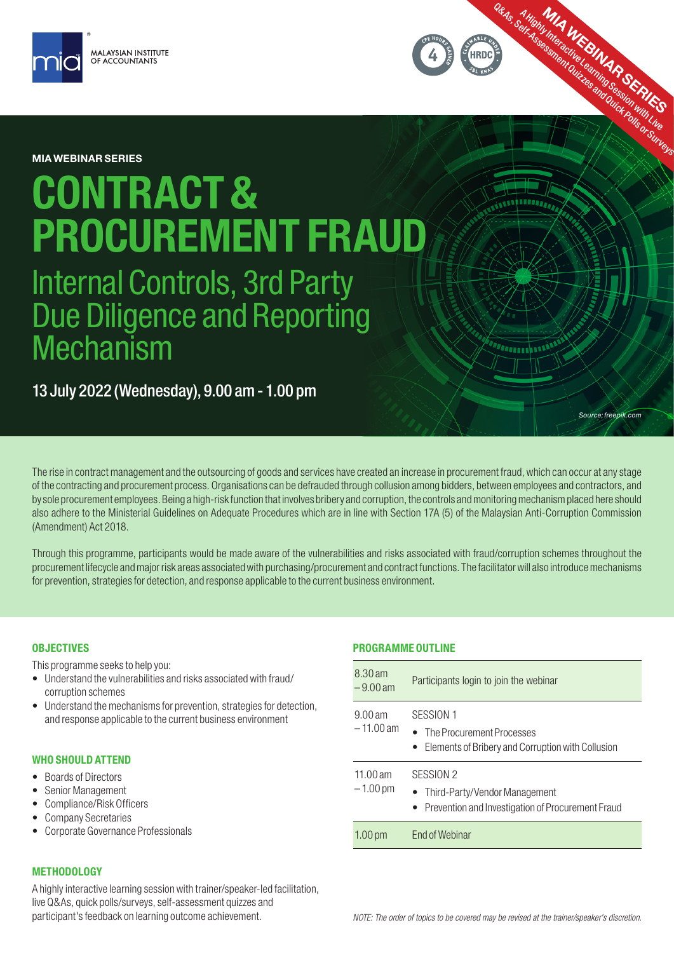

MIA WEBINAR SERIES

# CONTRACT & PROCUREMENT FRAUD

Internal Controls, 3rd Party Due Diligence and Reporting **Mechanism** 

13 July 2022 (Wednesday), 9.00 am - 1.00 pm

The rise in contract management and the outsourcing of goods and services have created an increase in procurement fraud, which can occur at any stage of the contracting and procurement process. Organisations can be defrauded through collusion among bidders, between employees and contractors, and by sole procurement employees. Being a high-risk function that involves bribery and corruption, the controls and monitoring mechanism placed here should also adhere to the Ministerial Guidelines on Adequate Procedures which are in line with Section 17A (5) of the Malaysian Anti-Corruption Commission (Amendment) Act 2018.

Through this programme, participants would be made aware of the vulnerabilities and risks associated with fraud/corruption schemes throughout the procurement lifecycle and major risk areas associated with purchasing/procurement and contract functions. The facilitator will also introduce mechanisms for prevention, strategies for detection, and response applicable to the current business environment.

## **OBJECTIVES**

This programme seeks to help you:

- Understand the vulnerabilities and risks associated with fraud/ corruption schemes
- Understand the mechanisms for prevention, strategies for detection, and response applicable to the current business environment

## WHO SHOULD ATTEND

- Boards of Directors
- Senior Management
- Compliance/Risk Officers
- Company Secretaries
- Corporate Governance Professionals

# PROGRAMME OUTLINE

| 8.30 am<br>$-9.00$ am    | Participants login to join the webinar                                                              |
|--------------------------|-----------------------------------------------------------------------------------------------------|
| $9.00$ am<br>$-11.00$ am | SESSION 1<br>• The Procurement Processes<br>• Elements of Bribery and Corruption with Collusion     |
| 11.00 $am$<br>$-1.00$ pm | SESSION 2<br>• Third-Party/Vendor Management<br>• Prevention and Investigation of Procurement Fraud |
| 1.00 <sub>pm</sub>       | <b>Fnd of Webinar</b>                                                                               |

*Source: freepik.com*

Q&As, Self-Assessment Quizze MAR SERIES

www

# METHODOLOGY

A highly interactive learning session with trainer/speaker-led facilitation, live Q&As, quick polls/surveys, self-assessment quizzes and participant's feedback on learning outcome achievement.